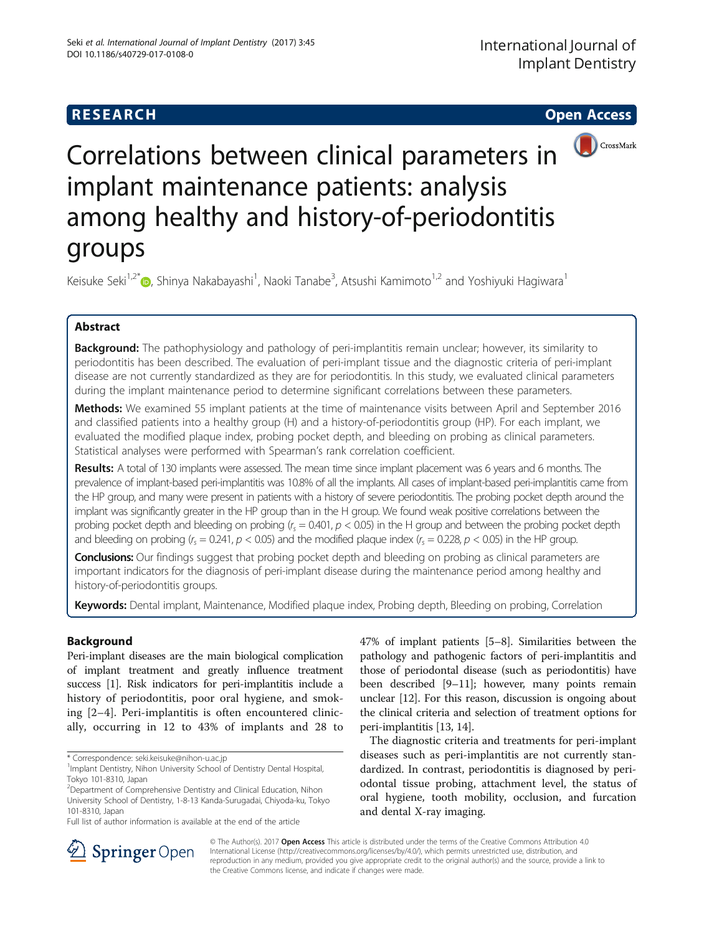

# Correlations between clinical parameters in implant maintenance patients: analysis among healthy and history-of-periodontitis groups

Keisuke Seki<sup>1[,](http://orcid.org/0000-0002-6130-1259)2\*</sup>@, Shinya Nakabayashi<sup>1</sup>, Naoki Tanabe<sup>3</sup>, Atsushi Kamimoto<sup>1,2</sup> and Yoshiyuki Hagiwara<sup>1</sup>

# Abstract

Background: The pathophysiology and pathology of peri-implantitis remain unclear; however, its similarity to periodontitis has been described. The evaluation of peri-implant tissue and the diagnostic criteria of peri-implant disease are not currently standardized as they are for periodontitis. In this study, we evaluated clinical parameters during the implant maintenance period to determine significant correlations between these parameters.

Methods: We examined 55 implant patients at the time of maintenance visits between April and September 2016 and classified patients into a healthy group (H) and a history-of-periodontitis group (HP). For each implant, we evaluated the modified plaque index, probing pocket depth, and bleeding on probing as clinical parameters. Statistical analyses were performed with Spearman's rank correlation coefficient.

Results: A total of 130 implants were assessed. The mean time since implant placement was 6 years and 6 months. The prevalence of implant-based peri-implantitis was 10.8% of all the implants. All cases of implant-based peri-implantitis came from the HP group, and many were present in patients with a history of severe periodontitis. The probing pocket depth around the implant was significantly greater in the HP group than in the H group. We found weak positive correlations between the probing pocket depth and bleeding on probing  $(r_s = 0.401, p < 0.05)$  in the H group and between the probing pocket depth and bleeding on probing ( $r_s$  = 0.241,  $p$  < 0.05) and the modified plaque index ( $r_s$  = 0.228,  $p$  < 0.05) in the HP group.

**Conclusions:** Our findings suggest that probing pocket depth and bleeding on probing as clinical parameters are important indicators for the diagnosis of peri-implant disease during the maintenance period among healthy and history-of-periodontitis groups.

Keywords: Dental implant, Maintenance, Modified plaque index, Probing depth, Bleeding on probing, Correlation

# Background

Peri-implant diseases are the main biological complication of implant treatment and greatly influence treatment success [\[1\]](#page-5-0). Risk indicators for peri-implantitis include a history of periodontitis, poor oral hygiene, and smoking [\[2](#page-5-0)–[4](#page-5-0)]. Peri-implantitis is often encountered clinically, occurring in 12 to 43% of implants and 28 to 47% of implant patients [\[5](#page-5-0)–[8](#page-5-0)]. Similarities between the pathology and pathogenic factors of peri-implantitis and those of periodontal disease (such as periodontitis) have been described [\[9](#page-5-0)–[11\]](#page-5-0); however, many points remain unclear [[12](#page-5-0)]. For this reason, discussion is ongoing about the clinical criteria and selection of treatment options for peri-implantitis [\[13, 14](#page-5-0)].

The diagnostic criteria and treatments for peri-implant diseases such as peri-implantitis are not currently standardized. In contrast, periodontitis is diagnosed by periodontal tissue probing, attachment level, the status of oral hygiene, tooth mobility, occlusion, and furcation and dental X-ray imaging.



© The Author(s). 2017 **Open Access** This article is distributed under the terms of the Creative Commons Attribution 4.0 International License ([http://creativecommons.org/licenses/by/4.0/\)](http://creativecommons.org/licenses/by/4.0/), which permits unrestricted use, distribution, and reproduction in any medium, provided you give appropriate credit to the original author(s) and the source, provide a link to the Creative Commons license, and indicate if changes were made.

<sup>\*</sup> Correspondence: [seki.keisuke@nihon-u.ac.jp](mailto:seki.keisuke@nihon-u.ac.jp) <sup>1</sup>

<sup>&</sup>lt;sup>1</sup>Implant Dentistry, Nihon University School of Dentistry Dental Hospital, Tokyo 101-8310, Japan

<sup>&</sup>lt;sup>2</sup> Department of Comprehensive Dentistry and Clinical Education, Nihon University School of Dentistry, 1-8-13 Kanda-Surugadai, Chiyoda-ku, Tokyo 101-8310, Japan

Full list of author information is available at the end of the article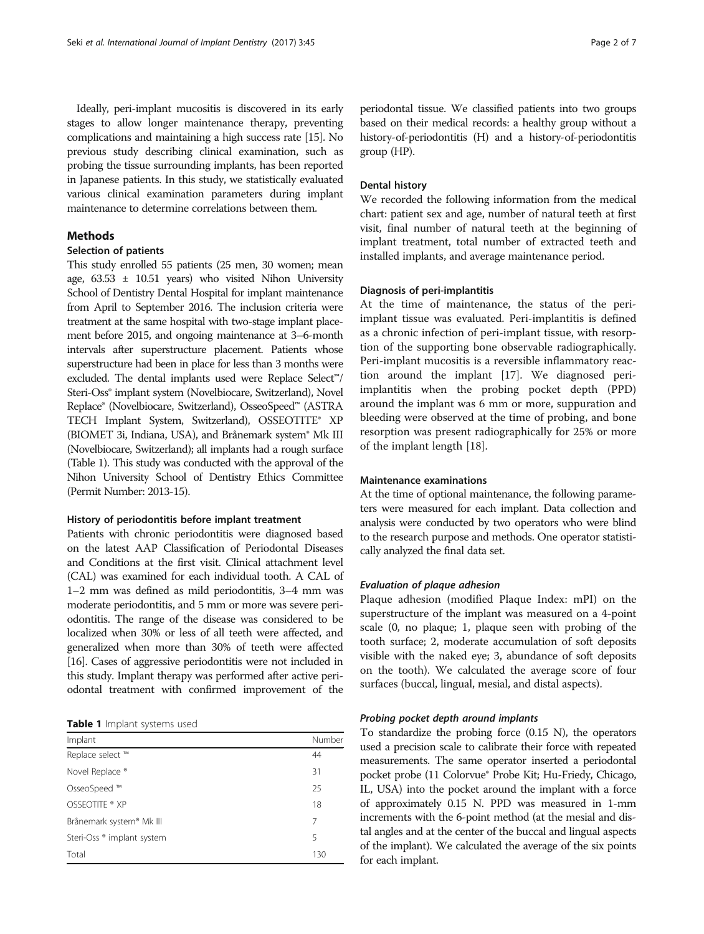Ideally, peri-implant mucositis is discovered in its early stages to allow longer maintenance therapy, preventing complications and maintaining a high success rate [[15](#page-5-0)]. No previous study describing clinical examination, such as probing the tissue surrounding implants, has been reported in Japanese patients. In this study, we statistically evaluated various clinical examination parameters during implant maintenance to determine correlations between them.

## Methods

# Selection of patients

This study enrolled 55 patients (25 men, 30 women; mean age,  $63.53 \pm 10.51$  years) who visited Nihon University School of Dentistry Dental Hospital for implant maintenance from April to September 2016. The inclusion criteria were treatment at the same hospital with two-stage implant placement before 2015, and ongoing maintenance at 3–6-month intervals after superstructure placement. Patients whose superstructure had been in place for less than 3 months were excluded. The dental implants used were Replace Select™/ Steri-Oss® implant system (Novelbiocare, Switzerland), Novel Replace® (Novelbiocare, Switzerland), OsseoSpeed™ (ASTRA TECH Implant System, Switzerland), OSSEOTITE® XP (BIOMET 3i, Indiana, USA), and Brånemark system® Mk III (Novelbiocare, Switzerland); all implants had a rough surface (Table 1). This study was conducted with the approval of the Nihon University School of Dentistry Ethics Committee (Permit Number: 2013-15).

## History of periodontitis before implant treatment

Patients with chronic periodontitis were diagnosed based on the latest AAP Classification of Periodontal Diseases and Conditions at the first visit. Clinical attachment level (CAL) was examined for each individual tooth. A CAL of 1–2 mm was defined as mild periodontitis, 3–4 mm was moderate periodontitis, and 5 mm or more was severe periodontitis. The range of the disease was considered to be localized when 30% or less of all teeth were affected, and generalized when more than 30% of teeth were affected [[16](#page-5-0)]. Cases of aggressive periodontitis were not included in this study. Implant therapy was performed after active periodontal treatment with confirmed improvement of the

## Table 1 Implant systems used

| Implant                    | Number |
|----------------------------|--------|
| Replace select ™           | 44     |
| Novel Replace ®            | 31     |
| OsseoSpeed ™               | 25     |
| OSSEOTITE ® XP             | 18     |
| Brånemark system® Mk III   | 7      |
| Steri-Oss ® implant system | 5      |
| Total                      | 130    |

periodontal tissue. We classified patients into two groups based on their medical records: a healthy group without a history-of-periodontitis (H) and a history-of-periodontitis group (HP).

#### Dental history

We recorded the following information from the medical chart: patient sex and age, number of natural teeth at first visit, final number of natural teeth at the beginning of implant treatment, total number of extracted teeth and installed implants, and average maintenance period.

## Diagnosis of peri-implantitis

At the time of maintenance, the status of the periimplant tissue was evaluated. Peri-implantitis is defined as a chronic infection of peri-implant tissue, with resorption of the supporting bone observable radiographically. Peri-implant mucositis is a reversible inflammatory reaction around the implant [[17\]](#page-6-0). We diagnosed periimplantitis when the probing pocket depth (PPD) around the implant was 6 mm or more, suppuration and bleeding were observed at the time of probing, and bone resorption was present radiographically for 25% or more of the implant length [[18](#page-6-0)].

## Maintenance examinations

At the time of optional maintenance, the following parameters were measured for each implant. Data collection and analysis were conducted by two operators who were blind to the research purpose and methods. One operator statistically analyzed the final data set.

## Evaluation of plaque adhesion

Plaque adhesion (modified Plaque Index: mPI) on the superstructure of the implant was measured on a 4-point scale (0, no plaque; 1, plaque seen with probing of the tooth surface; 2, moderate accumulation of soft deposits visible with the naked eye; 3, abundance of soft deposits on the tooth). We calculated the average score of four surfaces (buccal, lingual, mesial, and distal aspects).

## Probing pocket depth around implants

To standardize the probing force (0.15 N), the operators used a precision scale to calibrate their force with repeated measurements. The same operator inserted a periodontal pocket probe (11 Colorvue® Probe Kit; Hu-Friedy, Chicago, IL, USA) into the pocket around the implant with a force of approximately 0.15 N. PPD was measured in 1-mm increments with the 6-point method (at the mesial and distal angles and at the center of the buccal and lingual aspects of the implant). We calculated the average of the six points for each implant.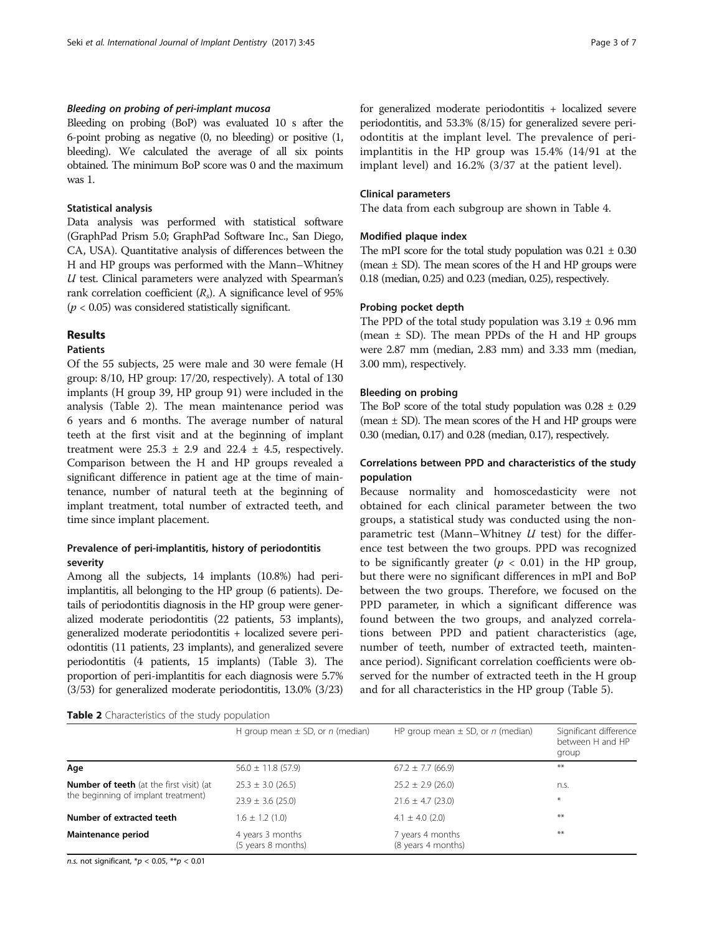## Bleeding on probing of peri-implant mucosa

Bleeding on probing (BoP) was evaluated 10 s after the 6-point probing as negative (0, no bleeding) or positive (1, bleeding). We calculated the average of all six points obtained. The minimum BoP score was 0 and the maximum was 1.

## Statistical analysis

Data analysis was performed with statistical software (GraphPad Prism 5.0; GraphPad Software Inc., San Diego, CA, USA). Quantitative analysis of differences between the H and HP groups was performed with the Mann–Whitney  $U$  test. Clinical parameters were analyzed with Spearman's rank correlation coefficient  $(R_s)$ . A significance level of 95%  $(p < 0.05)$  was considered statistically significant.

# Results

## Patients

Of the 55 subjects, 25 were male and 30 were female (H group: 8/10, HP group: 17/20, respectively). A total of 130 implants (H group 39, HP group 91) were included in the analysis (Table 2). The mean maintenance period was 6 years and 6 months. The average number of natural teeth at the first visit and at the beginning of implant treatment were  $25.3 \pm 2.9$  and  $22.4 \pm 4.5$ , respectively. Comparison between the H and HP groups revealed a significant difference in patient age at the time of maintenance, number of natural teeth at the beginning of implant treatment, total number of extracted teeth, and time since implant placement.

# Prevalence of peri-implantitis, history of periodontitis severity

Among all the subjects, 14 implants (10.8%) had periimplantitis, all belonging to the HP group (6 patients). Details of periodontitis diagnosis in the HP group were generalized moderate periodontitis (22 patients, 53 implants), generalized moderate periodontitis + localized severe periodontitis (11 patients, 23 implants), and generalized severe periodontitis (4 patients, 15 implants) (Table [3\)](#page-3-0). The proportion of peri-implantitis for each diagnosis were 5.7% (3/53) for generalized moderate periodontitis, 13.0% (3/23) for generalized moderate periodontitis + localized severe periodontitis, and 53.3% (8/15) for generalized severe periodontitis at the implant level. The prevalence of periimplantitis in the HP group was 15.4% (14/91 at the implant level) and 16.2% (3/37 at the patient level).

## Clinical parameters

The data from each subgroup are shown in Table [4](#page-3-0).

## Modified plaque index

The mPI score for the total study population was  $0.21 \pm 0.30$ (mean  $\pm$  SD). The mean scores of the H and HP groups were 0.18 (median, 0.25) and 0.23 (median, 0.25), respectively.

## Probing pocket depth

The PPD of the total study population was  $3.19 \pm 0.96$  mm (mean ± SD). The mean PPDs of the H and HP groups were 2.87 mm (median, 2.83 mm) and 3.33 mm (median, 3.00 mm), respectively.

## Bleeding on probing

The BoP score of the total study population was  $0.28 \pm 0.29$ (mean  $\pm$  SD). The mean scores of the H and HP groups were 0.30 (median, 0.17) and 0.28 (median, 0.17), respectively.

## Correlations between PPD and characteristics of the study population

Because normality and homoscedasticity were not obtained for each clinical parameter between the two groups, a statistical study was conducted using the nonparametric test (Mann–Whitney  $U$  test) for the difference test between the two groups. PPD was recognized to be significantly greater ( $p < 0.01$ ) in the HP group, but there were no significant differences in mPI and BoP between the two groups. Therefore, we focused on the PPD parameter, in which a significant difference was found between the two groups, and analyzed correlations between PPD and patient characteristics (age, number of teeth, number of extracted teeth, maintenance period). Significant correlation coefficients were observed for the number of extracted teeth in the H group and for all characteristics in the HP group (Table [5\)](#page-4-0).

Table 2 Characteristics of the study population

|                                                 | H group mean $\pm$ SD, or n (median)   | HP group mean $\pm$ SD, or n (median)  | Significant difference<br>between H and HP<br>group |
|-------------------------------------------------|----------------------------------------|----------------------------------------|-----------------------------------------------------|
| Age                                             | $56.0 \pm 11.8$ (57.9)                 | $67.2 \pm 7.7$ (66.9)                  | $***$                                               |
| <b>Number of teeth</b> (at the first visit) (at | $25.3 \pm 3.0$ (26.5)                  | $25.2 \pm 2.9$ (26.0)                  | n.s.                                                |
| the beginning of implant treatment)             | $23.9 \pm 3.6$ (25.0)                  | $21.6 \pm 4.7$ (23.0)                  | $*$                                                 |
| Number of extracted teeth                       | $1.6 \pm 1.2$ (1.0)                    | $4.1 \pm 4.0$ (2.0)                    | $***$                                               |
| Maintenance period                              | 4 years 3 months<br>(5 years 8 months) | 7 years 4 months<br>(8 years 4 months) | $**$                                                |

n.s. not significant,  $p < 0.05$ ,  $\frac{p}{p} < 0.01$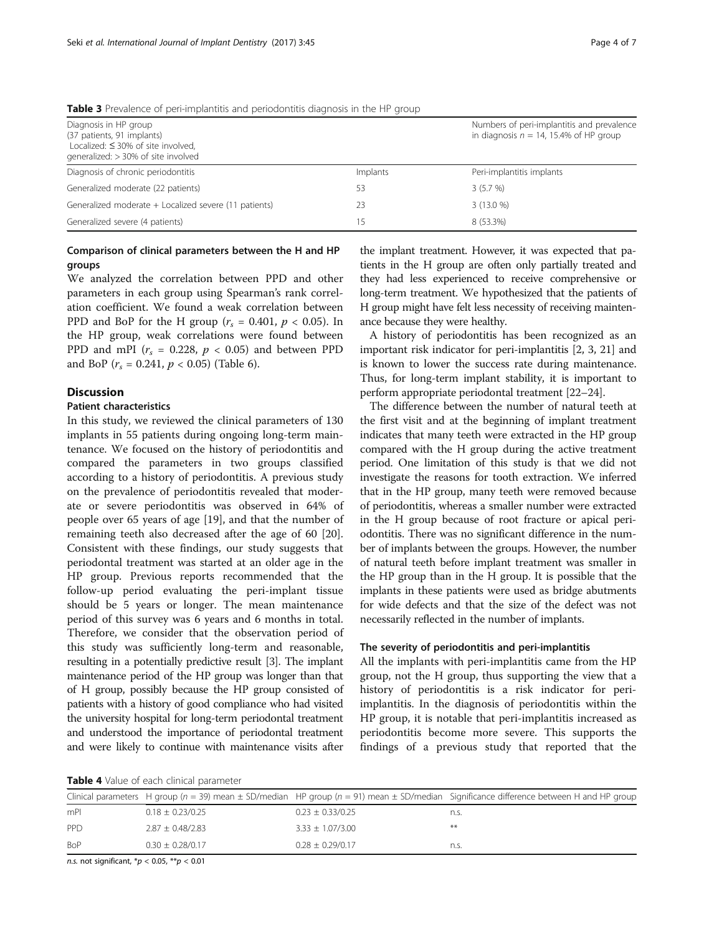| <b>Twele</b> a first and the of pair implanties and panoaorities alaquosis in the fill group                                          |          |                                                                                         |  |
|---------------------------------------------------------------------------------------------------------------------------------------|----------|-----------------------------------------------------------------------------------------|--|
| Diagnosis in HP group<br>(37 patients, 91 implants)<br>Localized: $\leq$ 30% of site involved,<br>generalized: > 30% of site involved |          | Numbers of peri-implantitis and prevalence<br>in diagnosis $n = 14$ , 15.4% of HP group |  |
| Diagnosis of chronic periodontitis                                                                                                    | Implants | Peri-implantitis implants                                                               |  |
| Generalized moderate (22 patients)                                                                                                    | 53       | 3(5.7%)                                                                                 |  |
| Generalized moderate + Localized severe (11 patients)                                                                                 | 23       | $3(13.0\%)$                                                                             |  |
| Generalized severe (4 patients)                                                                                                       | 15       | 8 (53.3%)                                                                               |  |

<span id="page-3-0"></span>**Table 3** Prevalence of peri-implantitis and periodontitis diagnosis in the HP group

# Comparison of clinical parameters between the H and HP groups

We analyzed the correlation between PPD and other parameters in each group using Spearman's rank correlation coefficient. We found a weak correlation between PPD and BoP for the H group ( $r_s = 0.401$ ,  $p < 0.05$ ). In the HP group, weak correlations were found between PPD and mPI ( $r_s$  = 0.228,  $p < 0.05$ ) and between PPD and BoP ( $r_s = 0.241$ ,  $p < 0.05$ ) (Table [6\)](#page-4-0).

## **Discussion**

# Patient characteristics

In this study, we reviewed the clinical parameters of 130 implants in 55 patients during ongoing long-term maintenance. We focused on the history of periodontitis and compared the parameters in two groups classified according to a history of periodontitis. A previous study on the prevalence of periodontitis revealed that moderate or severe periodontitis was observed in 64% of people over 65 years of age [\[19](#page-6-0)], and that the number of remaining teeth also decreased after the age of 60 [\[20](#page-6-0)]. Consistent with these findings, our study suggests that periodontal treatment was started at an older age in the HP group. Previous reports recommended that the follow-up period evaluating the peri-implant tissue should be 5 years or longer. The mean maintenance period of this survey was 6 years and 6 months in total. Therefore, we consider that the observation period of this study was sufficiently long-term and reasonable, resulting in a potentially predictive result [[3](#page-5-0)]. The implant maintenance period of the HP group was longer than that of H group, possibly because the HP group consisted of patients with a history of good compliance who had visited the university hospital for long-term periodontal treatment and understood the importance of periodontal treatment and were likely to continue with maintenance visits after

the implant treatment. However, it was expected that patients in the H group are often only partially treated and they had less experienced to receive comprehensive or long-term treatment. We hypothesized that the patients of H group might have felt less necessity of receiving maintenance because they were healthy.

A history of periodontitis has been recognized as an important risk indicator for peri-implantitis [\[2](#page-5-0), [3](#page-5-0), [21](#page-6-0)] and is known to lower the success rate during maintenance. Thus, for long-term implant stability, it is important to perform appropriate periodontal treatment [\[22](#page-6-0)–[24](#page-6-0)].

The difference between the number of natural teeth at the first visit and at the beginning of implant treatment indicates that many teeth were extracted in the HP group compared with the H group during the active treatment period. One limitation of this study is that we did not investigate the reasons for tooth extraction. We inferred that in the HP group, many teeth were removed because of periodontitis, whereas a smaller number were extracted in the H group because of root fracture or apical periodontitis. There was no significant difference in the number of implants between the groups. However, the number of natural teeth before implant treatment was smaller in the HP group than in the H group. It is possible that the implants in these patients were used as bridge abutments for wide defects and that the size of the defect was not necessarily reflected in the number of implants.

## The severity of periodontitis and peri-implantitis

All the implants with peri-implantitis came from the HP group, not the H group, thus supporting the view that a history of periodontitis is a risk indicator for periimplantitis. In the diagnosis of periodontitis within the HP group, it is notable that peri-implantitis increased as periodontitis become more severe. This supports the findings of a previous study that reported that the

Table 4 Value of each clinical parameter

|            |                      |                      | Clinical parameters H group ( $n = 39$ ) mean $\pm$ SD/median HP group ( $n = 91$ ) mean $\pm$ SD/median Significance difference between H and HP group |
|------------|----------------------|----------------------|---------------------------------------------------------------------------------------------------------------------------------------------------------|
| mPI        | $0.18 \pm 0.23/0.25$ | $0.23 \pm 0.33/0.25$ | n.s.                                                                                                                                                    |
| PPD        | $2.87 \pm 0.48/2.83$ | $3.33 \pm 1.07/3.00$ | **                                                                                                                                                      |
| <b>BoP</b> | $0.30 \pm 0.28/0.17$ | $0.28 \pm 0.29/0.17$ | n.s.                                                                                                                                                    |

n.s. not significant,  $p < 0.05$ ,  $\frac{p}{p} < 0.01$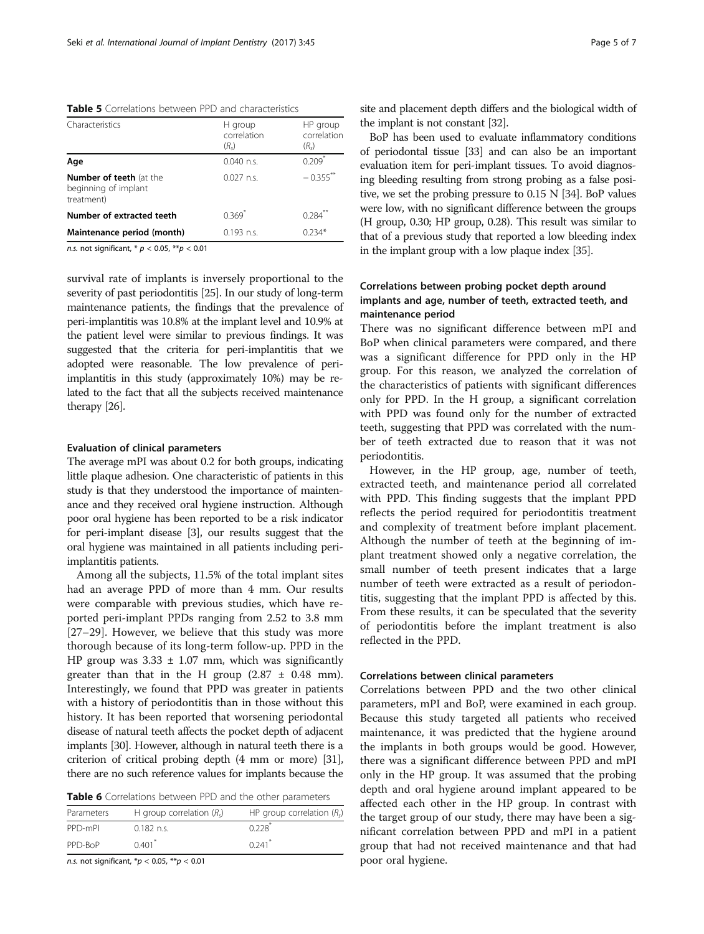<span id="page-4-0"></span>Table 5 Correlations between PPD and characteristics

| Characteristics                                                      | H group<br>correlation<br>(R <sub>s</sub> ) | HP group<br>correlation<br>(R <sub>s</sub> ) |
|----------------------------------------------------------------------|---------------------------------------------|----------------------------------------------|
| Age                                                                  | $0.040$ n.s.                                | 0.209                                        |
| <b>Number of teeth</b> (at the<br>beginning of implant<br>treatment) | $0.027$ n.s.                                | $-0.355$ **                                  |
| Number of extracted teeth                                            | $0.369$ <sup>*</sup>                        | 0.284                                        |
| Maintenance period (month)                                           | $0.193$ n.s.                                | $0.234*$                                     |
|                                                                      |                                             |                                              |

n.s. not significant,  $* p < 0.05$ ,  $** p < 0.01$ 

survival rate of implants is inversely proportional to the severity of past periodontitis [\[25](#page-6-0)]. In our study of long-term maintenance patients, the findings that the prevalence of peri-implantitis was 10.8% at the implant level and 10.9% at the patient level were similar to previous findings. It was suggested that the criteria for peri-implantitis that we adopted were reasonable. The low prevalence of periimplantitis in this study (approximately 10%) may be related to the fact that all the subjects received maintenance therapy [[26\]](#page-6-0).

## Evaluation of clinical parameters

The average mPI was about 0.2 for both groups, indicating little plaque adhesion. One characteristic of patients in this study is that they understood the importance of maintenance and they received oral hygiene instruction. Although poor oral hygiene has been reported to be a risk indicator for peri-implant disease [\[3](#page-5-0)], our results suggest that the oral hygiene was maintained in all patients including periimplantitis patients.

Among all the subjects, 11.5% of the total implant sites had an average PPD of more than 4 mm. Our results were comparable with previous studies, which have reported peri-implant PPDs ranging from 2.52 to 3.8 mm [[27](#page-6-0)–[29](#page-6-0)]. However, we believe that this study was more thorough because of its long-term follow-up. PPD in the HP group was  $3.33 \pm 1.07$  mm, which was significantly greater than that in the H group  $(2.87 \pm 0.48 \text{ mm})$ . Interestingly, we found that PPD was greater in patients with a history of periodontitis than in those without this history. It has been reported that worsening periodontal disease of natural teeth affects the pocket depth of adjacent implants [\[30\]](#page-6-0). However, although in natural teeth there is a criterion of critical probing depth (4 mm or more) [\[31](#page-6-0)], there are no such reference values for implants because the

| Table 6 Correlations between PPD and the other parameters |  |  |
|-----------------------------------------------------------|--|--|
|-----------------------------------------------------------|--|--|

| Parameters | H group correlation $(R_s)$ | HP group correlation $(R_s)$ |
|------------|-----------------------------|------------------------------|
| PPD-mPI    | $0.182$ n.s.                | 0.228                        |
| PPD-BoP    | $0401$ <sup>*</sup>         | $0.241$ <sup>*</sup>         |

n.s. not significant,  $p < 0.05$ ,  $\frac{p}{p} < 0.01$ 

site and placement depth differs and the biological width of the implant is not constant [\[32](#page-6-0)].

BoP has been used to evaluate inflammatory conditions of periodontal tissue [\[33\]](#page-6-0) and can also be an important evaluation item for peri-implant tissues. To avoid diagnosing bleeding resulting from strong probing as a false positive, we set the probing pressure to 0.15 N [\[34\]](#page-6-0). BoP values were low, with no significant difference between the groups (H group, 0.30; HP group, 0.28). This result was similar to that of a previous study that reported a low bleeding index in the implant group with a low plaque index [\[35\]](#page-6-0).

# Correlations between probing pocket depth around implants and age, number of teeth, extracted teeth, and maintenance period

There was no significant difference between mPI and BoP when clinical parameters were compared, and there was a significant difference for PPD only in the HP group. For this reason, we analyzed the correlation of the characteristics of patients with significant differences only for PPD. In the H group, a significant correlation with PPD was found only for the number of extracted teeth, suggesting that PPD was correlated with the number of teeth extracted due to reason that it was not periodontitis.

However, in the HP group, age, number of teeth, extracted teeth, and maintenance period all correlated with PPD. This finding suggests that the implant PPD reflects the period required for periodontitis treatment and complexity of treatment before implant placement. Although the number of teeth at the beginning of implant treatment showed only a negative correlation, the small number of teeth present indicates that a large number of teeth were extracted as a result of periodontitis, suggesting that the implant PPD is affected by this. From these results, it can be speculated that the severity of periodontitis before the implant treatment is also reflected in the PPD.

## Correlations between clinical parameters

Correlations between PPD and the two other clinical parameters, mPI and BoP, were examined in each group. Because this study targeted all patients who received maintenance, it was predicted that the hygiene around the implants in both groups would be good. However, there was a significant difference between PPD and mPI only in the HP group. It was assumed that the probing depth and oral hygiene around implant appeared to be affected each other in the HP group. In contrast with the target group of our study, there may have been a significant correlation between PPD and mPI in a patient group that had not received maintenance and that had poor oral hygiene.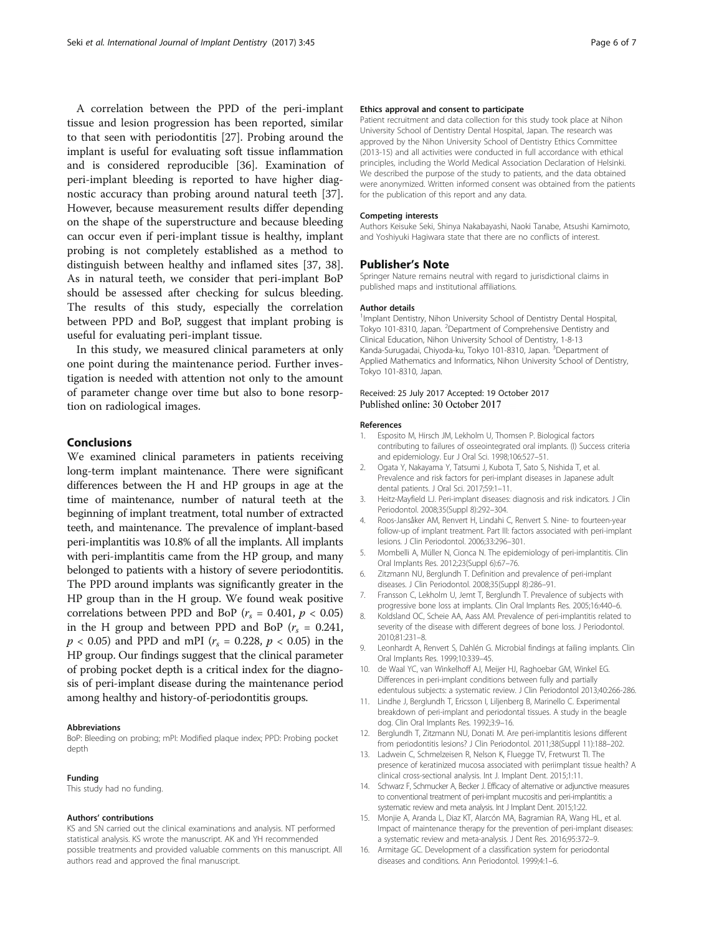<span id="page-5-0"></span>A correlation between the PPD of the peri-implant tissue and lesion progression has been reported, similar to that seen with periodontitis [\[27](#page-6-0)]. Probing around the implant is useful for evaluating soft tissue inflammation and is considered reproducible [[36\]](#page-6-0). Examination of peri-implant bleeding is reported to have higher diagnostic accuracy than probing around natural teeth [\[37](#page-6-0)]. However, because measurement results differ depending on the shape of the superstructure and because bleeding can occur even if peri-implant tissue is healthy, implant probing is not completely established as a method to distinguish between healthy and inflamed sites [\[37](#page-6-0), [38](#page-6-0)]. As in natural teeth, we consider that peri-implant BoP should be assessed after checking for sulcus bleeding. The results of this study, especially the correlation between PPD and BoP, suggest that implant probing is useful for evaluating peri-implant tissue.

In this study, we measured clinical parameters at only one point during the maintenance period. Further investigation is needed with attention not only to the amount of parameter change over time but also to bone resorption on radiological images.

## Conclusions

We examined clinical parameters in patients receiving long-term implant maintenance. There were significant differences between the H and HP groups in age at the time of maintenance, number of natural teeth at the beginning of implant treatment, total number of extracted teeth, and maintenance. The prevalence of implant-based peri-implantitis was 10.8% of all the implants. All implants with peri-implantitis came from the HP group, and many belonged to patients with a history of severe periodontitis. The PPD around implants was significantly greater in the HP group than in the H group. We found weak positive correlations between PPD and BoP ( $r_s = 0.401$ ,  $p < 0.05$ ) in the H group and between PPD and BoP ( $r_s = 0.241$ ,  $p < 0.05$ ) and PPD and mPI ( $r_s = 0.228$ ,  $p < 0.05$ ) in the HP group. Our findings suggest that the clinical parameter of probing pocket depth is a critical index for the diagnosis of peri-implant disease during the maintenance period among healthy and history-of-periodontitis groups.

#### Abbreviations

BoP: Bleeding on probing; mPI: Modified plaque index; PPD: Probing pocket depth

## Funding

This study had no funding.

#### Authors' contributions

KS and SN carried out the clinical examinations and analysis. NT performed statistical analysis. KS wrote the manuscript. AK and YH recommended possible treatments and provided valuable comments on this manuscript. All authors read and approved the final manuscript.

#### Ethics approval and consent to participate

Patient recruitment and data collection for this study took place at Nihon University School of Dentistry Dental Hospital, Japan. The research was approved by the Nihon University School of Dentistry Ethics Committee (2013-15) and all activities were conducted in full accordance with ethical principles, including the World Medical Association Declaration of Helsinki. We described the purpose of the study to patients, and the data obtained were anonymized. Written informed consent was obtained from the patients for the publication of this report and any data.

#### Competing interests

Authors Keisuke Seki, Shinya Nakabayashi, Naoki Tanabe, Atsushi Kamimoto, and Yoshiyuki Hagiwara state that there are no conflicts of interest.

#### Publisher's Note

Springer Nature remains neutral with regard to jurisdictional claims in published maps and institutional affiliations.

#### Author details

<sup>1</sup>Implant Dentistry, Nihon University School of Dentistry Dental Hospital Tokyo 101-8310, Japan. <sup>2</sup>Department of Comprehensive Dentistry and Clinical Education, Nihon University School of Dentistry, 1-8-13 Kanda-Surugadai, Chiyoda-ku, Tokyo 101-8310, Japan. <sup>3</sup>Department of Applied Mathematics and Informatics, Nihon University School of Dentistry, Tokyo 101-8310, Japan.

## Received: 25 July 2017 Accepted: 19 October 2017 Published online: 30 October 2017

#### References

- 1. Esposito M, Hirsch JM, Lekholm U, Thomsen P. Biological factors contributing to failures of osseointegrated oral implants. (I) Success criteria and epidemiology. Eur J Oral Sci. 1998;106:527–51.
- 2. Ogata Y, Nakayama Y, Tatsumi J, Kubota T, Sato S, Nishida T, et al. Prevalence and risk factors for peri-implant diseases in Japanese adult dental patients. J Oral Sci. 2017;59:1–11.
- 3. Heitz-Mayfield LJ. Peri-implant diseases: diagnosis and risk indicators. J Clin Periodontol. 2008;35(Suppl 8):292–304.
- 4. Roos-Jansåker AM, Renvert H, Lindahi C, Renvert S. Nine- to fourteen-year follow-up of implant treatment. Part III: factors associated with peri-implant lesions. J Clin Periodontol. 2006;33:296–301.
- 5. Mombelli A, Müller N, Cionca N. The epidemiology of peri-implantitis. Clin Oral Implants Res. 2012;23(Suppl 6):67–76.
- 6. Zitzmann NU, Berglundh T. Definition and prevalence of peri-implant diseases. J Clin Periodontol. 2008;35(Suppl 8):286–91.
- 7. Fransson C, Lekholm U, Jemt T, Berglundh T. Prevalence of subjects with progressive bone loss at implants. Clin Oral Implants Res. 2005;16:440–6.
- 8. Koldsland OC, Scheie AA, Aass AM. Prevalence of peri-implantitis related to severity of the disease with different degrees of bone loss. J Periodontol. 2010;81:231–8.
- 9. Leonhardt A, Renvert S, Dahlén G. Microbial findings at failing implants. Clin Oral Implants Res. 1999;10:339–45.
- 10. de Waal YC, van Winkelhoff AJ, Meijer HJ, Raghoebar GM, Winkel EG. Differences in peri-implant conditions between fully and partially edentulous subjects: a systematic review. J Clin Periodontol 2013;40:266-286.
- 11. Lindhe J, Berglundh T, Ericsson I, Liljenberg B, Marinello C. Experimental breakdown of peri-implant and periodontal tissues. A study in the beagle dog. Clin Oral Implants Res. 1992;3:9–16.
- 12. Berglundh T, Zitzmann NU, Donati M. Are peri-implantitis lesions different from periodontitis lesions? J Clin Periodontol. 2011;38(Suppl 11):188–202.
- 13. Ladwein C, Schmelzeisen R, Nelson K, Fluegge TV, Fretwurst TI. The presence of keratinized mucosa associated with periimplant tissue health? A clinical cross-sectional analysis. Int J. Implant Dent. 2015;1:11.
- 14. Schwarz F, Schmucker A, Becker J. Efficacy of alternative or adjunctive measures to conventional treatment of peri-implant mucositis and peri-implantitis: a systematic review and meta analysis. Int J Implant Dent. 2015;1:22.
- 15. Monjie A, Aranda L, Diaz KT, Alarcón MA, Bagramian RA, Wang HL, et al. Impact of maintenance therapy for the prevention of peri-implant diseases: a systematic review and meta-analysis. J Dent Res. 2016;95:372–9.
- 16. Armitage GC. Development of a classification system for periodontal diseases and conditions. Ann Periodontol. 1999;4:1–6.